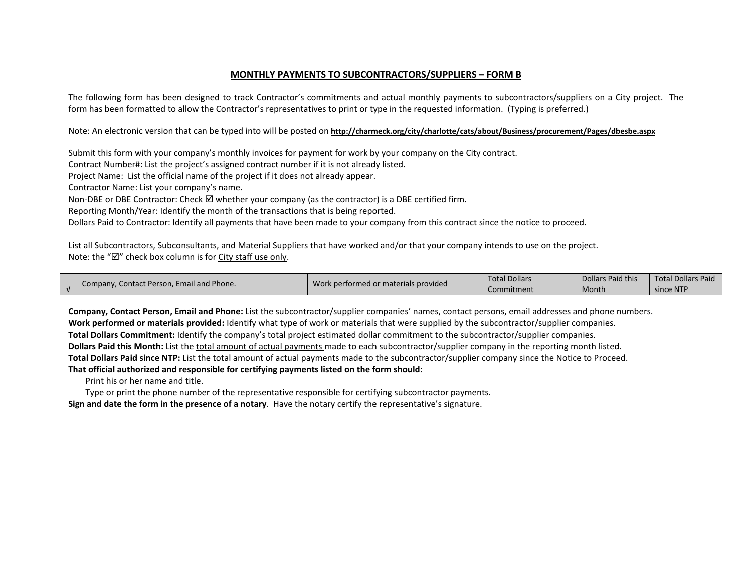## **MONTHLY PAYMENTS TO SUBCONTRACTORS/SUPPLIERS – FORM B**

The following form has been designed to track Contractor's commitments and actual monthly payments to subcontractors/suppliers on a City project. The form has been formatted to allow the Contractor's representatives to print or type in the requested information. (Typing is preferred.)

Note: An electronic version that can be typed into will be posted on **<http://charmeck.org/city/charlotte/cats/about/Business/procurement/Pages/dbesbe.aspx>**

Submit this form with your company's monthly invoices for payment for work by your company on the City contract.

Contract Number#: List the project's assigned contract number if it is not already listed.

Project Name: List the official name of the project if it does not already appear.

Contractor Name: List your company's name.

Non-DBE or DBE Contractor: Check  $\boxtimes$  whether your company (as the contractor) is a DBE certified firm.

Reporting Month/Year: Identify the month of the transactions that is being reported.

Dollars Paid to Contractor: Identify all payments that have been made to your company from this contract since the notice to proceed.

List all Subcontractors, Subconsultants, and Material Suppliers that have worked and/or that your company intends to use on the project. Note: the " $\mathbb{Z}$ " check box column is for City staff use only.

| Company, Contact Person, Email and Phone. | Work performed or materials provided | <b>Total Dollars</b> | Dollars Paid this | <b>Total Dollars Paid</b> |
|-------------------------------------------|--------------------------------------|----------------------|-------------------|---------------------------|
|                                           |                                      | Commitment           | Month             | since NTP                 |

**Company, Contact Person, Email and Phone:** List the subcontractor/supplier companies' names, contact persons, email addresses and phone numbers. **Work performed or materials provided:** Identify what type of work or materials that were supplied by the subcontractor/supplier companies. **Total Dollars Commitment:** Identify the company's total project estimated dollar commitment to the subcontractor/supplier companies. **Dollars Paid this Month:** List the total amount of actual payments made to each subcontractor/supplier company in the reporting month listed. **Total Dollars Paid since NTP:** List the total amount of actual payments made to the subcontractor/supplier company since the Notice to Proceed. **That official authorized and responsible for certifying payments listed on the form should**:

Print his or her name and title.

Type or print the phone number of the representative responsible for certifying subcontractor payments.

**Sign and date the form in the presence of a notary**. Have the notary certify the representative's signature.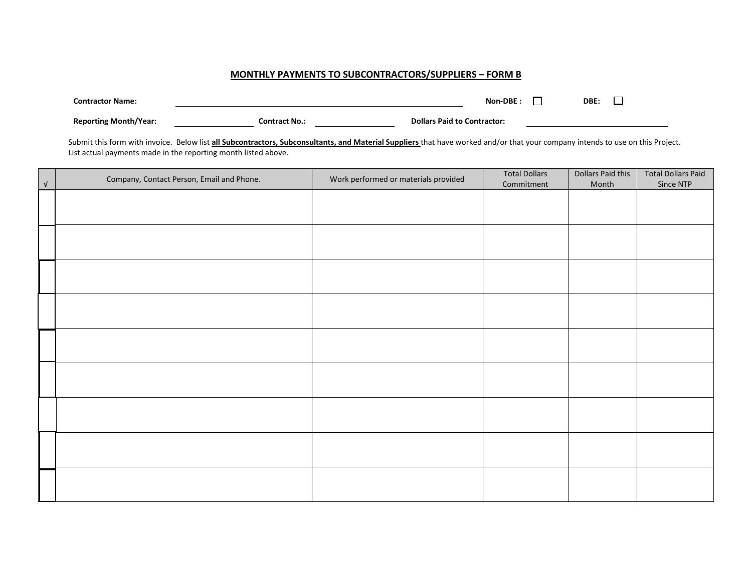## **MONTHLY PAYMENTS TO SUBCONTRACTORS/SUPPLIERS – FORM B**

| <b>Contractor Name:</b>      |                      | Non-DBE:                           | DBE: |  |
|------------------------------|----------------------|------------------------------------|------|--|
| <b>Reporting Month/Year:</b> | <b>Contract No.:</b> | <b>Dollars Paid to Contractor:</b> |      |  |

Submit this form with invoice. Below list **all Subcontractors, Subconsultants, and Material Suppliers** that have worked and/or that your company intends to use on this Project. List actual payments made in the reporting month listed above.

| $\sqrt{ }$ | Company, Contact Person, Email and Phone. | Work performed or materials provided | <b>Total Dollars</b><br>Commitment | Dollars Paid this<br>Month | <b>Total Dollars Paid</b><br>Since NTP |
|------------|-------------------------------------------|--------------------------------------|------------------------------------|----------------------------|----------------------------------------|
|            |                                           |                                      |                                    |                            |                                        |
|            |                                           |                                      |                                    |                            |                                        |
|            |                                           |                                      |                                    |                            |                                        |
|            |                                           |                                      |                                    |                            |                                        |
|            |                                           |                                      |                                    |                            |                                        |
|            |                                           |                                      |                                    |                            |                                        |
|            |                                           |                                      |                                    |                            |                                        |
|            |                                           |                                      |                                    |                            |                                        |
|            |                                           |                                      |                                    |                            |                                        |
|            |                                           |                                      |                                    |                            |                                        |
|            |                                           |                                      |                                    |                            |                                        |
|            |                                           |                                      |                                    |                            |                                        |
|            |                                           |                                      |                                    |                            |                                        |
|            |                                           |                                      |                                    |                            |                                        |
|            |                                           |                                      |                                    |                            |                                        |
|            |                                           |                                      |                                    |                            |                                        |
|            |                                           |                                      |                                    |                            |                                        |
|            |                                           |                                      |                                    |                            |                                        |